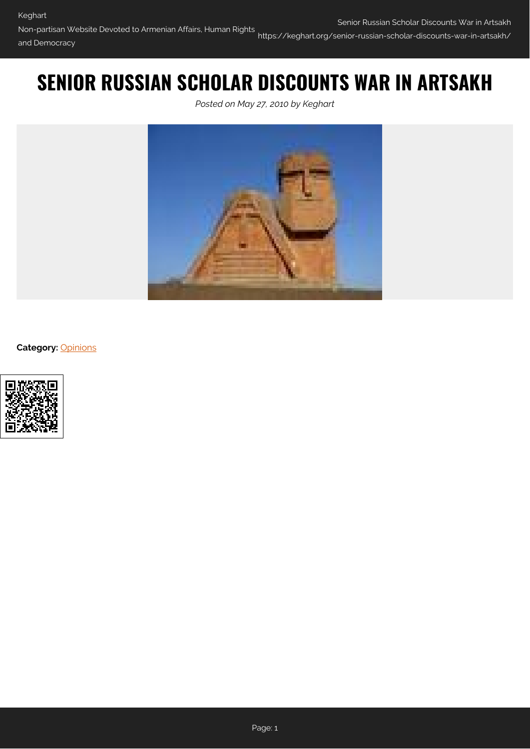# **SENIOR RUSSIAN SCHOLAR DISCOUNTS WAR IN ARTSAKH**

*Posted on May 27, 2010 by Keghart*



**Category:** [Opinions](https://keghart.org/category/opinions/)

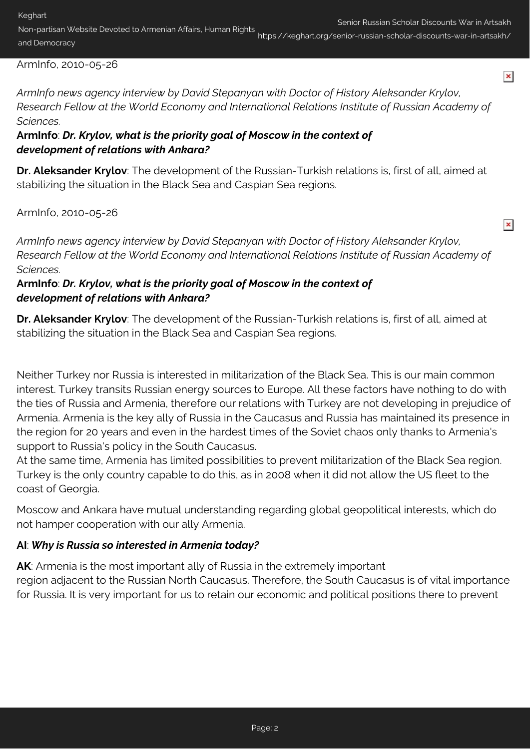$\pmb{\times}$ 

 $\pmb{\times}$ 

Non-partisan Website Devoted to Armenian Affairs, Human Rights and Democracy https://keghart.org/senior-russian-scholar-discounts-war-in-artsakh/

#### ArmInfo, 2010-05-26

*ArmInfo news agency interview by David Stepanyan with Doctor of History Aleksander Krylov, Research Fellow at the World Economy and International Relations Institute of Russian Academy of Sciences.*

#### **ArmInfo**: *Dr. Krylov, what is the priority goal of Moscow in the context of development of relations with Ankara?*

**Dr. Aleksander Krylov**: The development of the Russian-Turkish relations is, first of all, aimed at stabilizing the situation in the Black Sea and Caspian Sea regions.

ArmInfo, 2010-05-26

*ArmInfo news agency interview by David Stepanyan with Doctor of History Aleksander Krylov, Research Fellow at the World Economy and International Relations Institute of Russian Academy of Sciences.*

#### **ArmInfo**: *Dr. Krylov, what is the priority goal of Moscow in the context of development of relations with Ankara?*

**Dr. Aleksander Krylov**: The development of the Russian-Turkish relations is, first of all, aimed at stabilizing the situation in the Black Sea and Caspian Sea regions.

Neither Turkey nor Russia is interested in militarization of the Black Sea. This is our main common interest. Turkey transits Russian energy sources to Europe. All these factors have nothing to do with the ties of Russia and Armenia, therefore our relations with Turkey are not developing in prejudice of Armenia. Armenia is the key ally of Russia in the Caucasus and Russia has maintained its presence in the region for 20 years and even in the hardest times of the Soviet chaos only thanks to Armenia's support to Russia's policy in the South Caucasus.

At the same time, Armenia has limited possibilities to prevent militarization of the Black Sea region. Turkey is the only country capable to do this, as in 2008 when it did not allow the US fleet to the coast of Georgia.

Moscow and Ankara have mutual understanding regarding global geopolitical interests, which do not hamper cooperation with our ally Armenia.

#### **AI**: *Why is Russia so interested in Armenia today?*

**AK**: Armenia is the most important ally of Russia in the extremely important region adjacent to the Russian North Caucasus. Therefore, the South Caucasus is of vital importance for Russia. It is very important for us to retain our economic and political positions there to prevent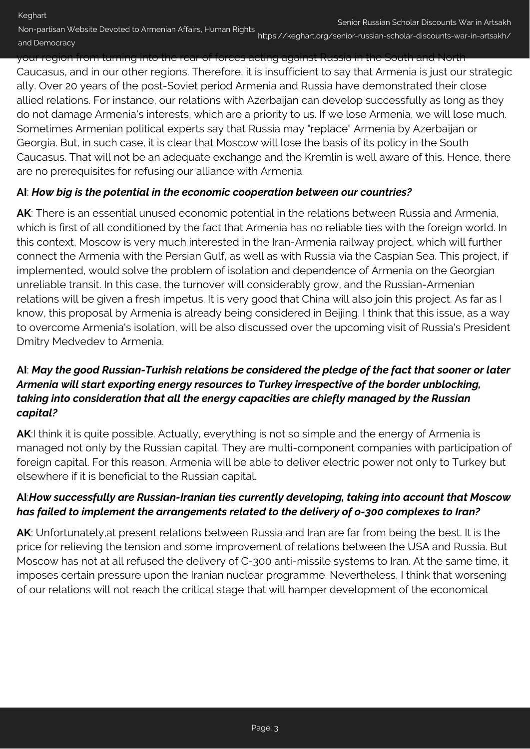your region from turning into the rear of forces acting against Russia in the Caucasus, and in our other regions. Therefore, it is insufficient to say that Armenia is just our strategic ally. Over 20 years of the post-Soviet period Armenia and Russia have demonstrated their close allied relations. For instance, our relations with Azerbaijan can develop successfully as long as they do not damage Armenia's interests, which are a priority to us. If we lose Armenia, we will lose much. Sometimes Armenian political experts say that Russia may "replace" Armenia by Azerbaijan or Georgia. But, in such case, it is clear that Moscow will lose the basis of its policy in the South Caucasus. That will not be an adequate exchange and the Kremlin is well aware of this. Hence, there are no prerequisites for refusing our alliance with Armenia.

#### **AI**: *How big is the potential in the economic cooperation between our countries?*

and Democracy

**AK**: There is an essential unused economic potential in the relations between Russia and Armenia, which is first of all conditioned by the fact that Armenia has no reliable ties with the foreign world. In this context, Moscow is very much interested in the Iran-Armenia railway project, which will further connect the Armenia with the Persian Gulf, as well as with Russia via the Caspian Sea. This project, if implemented, would solve the problem of isolation and dependence of Armenia on the Georgian unreliable transit. In this case, the turnover will considerably grow, and the Russian-Armenian relations will be given a fresh impetus. It is very good that China will also join this project. As far as I know, this proposal by Armenia is already being considered in Beijing. I think that this issue, as a way to overcome Armenia's isolation, will be also discussed over the upcoming visit of Russia's President Dmitry Medvedev to Armenia.

### **AI**: *May the good Russian-Turkish relations be considered the pledge of the fact that sooner or later Armenia will start exporting energy resources to Turkey irrespective of the border unblocking, taking into consideration that all the energy capacities are chiefly managed by the Russian capital?*

**AK**:I think it is quite possible. Actually, everything is not so simple and the energy of Armenia is managed not only by the Russian capital. They are multi-component companies with participation of foreign capital. For this reason, Armenia will be able to deliver electric power not only to Turkey but elsewhere if it is beneficial to the Russian capital.

### **AI**:*How successfully are Russian-Iranian ties currently developing, taking into account that Moscow has failed to implement the arrangements related to the delivery of o-300 complexes to Iran?*

**AK**: Unfortunately,at present relations between Russia and Iran are far from being the best. It is the price for relieving the tension and some improvement of relations between the USA and Russia. But Moscow has not at all refused the delivery of C-300 anti-missile systems to Iran. At the same time, it imposes certain pressure upon the Iranian nuclear programme. Nevertheless, I think that worsening of our relations will not reach the critical stage that will hamper development of the economical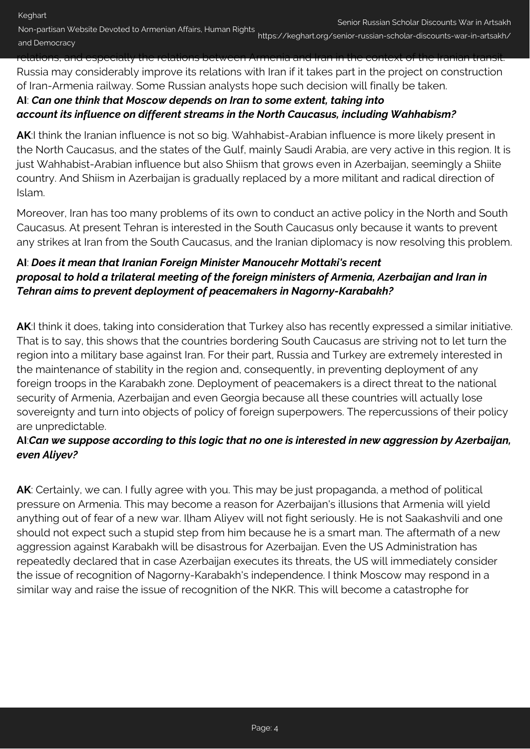Non-partisan Website Devoted to Armenian Affairs, Human Rights Senior Russian Scholar Discounts War in Artsakh and Democracy https://keghart.org/senior-russian-scholar-discounts-war-in-artsakh/

<u>relations, and especially the relations between Armenia and I</u> Russia may considerably improve its relations with Iran if it takes part in the project on construction of Iran-Armenia railway. Some Russian analysts hope such decision will finally be taken.

## **AI**: *Can one think that Moscow depends on Iran to some extent, taking into account its influence on different streams in the North Caucasus, including Wahhabism?*

**AK**:I think the Iranian influence is not so big. Wahhabist-Arabian influence is more likely present in the North Caucasus, and the states of the Gulf, mainly Saudi Arabia, are very active in this region. It is just Wahhabist-Arabian influence but also Shiism that grows even in Azerbaijan, seemingly a Shiite country. And Shiism in Azerbaijan is gradually replaced by a more militant and radical direction of Islam.

Moreover, Iran has too many problems of its own to conduct an active policy in the North and South Caucasus. At present Tehran is interested in the South Caucasus only because it wants to prevent any strikes at Iran from the South Caucasus, and the Iranian diplomacy is now resolving this problem.

## **AI**: *Does it mean that Iranian Foreign Minister Manoucehr Mottaki's recent proposal to hold a trilateral meeting of the foreign ministers of Armenia, Azerbaijan and Iran in Tehran aims to prevent deployment of peacemakers in Nagorny-Karabakh?*

AK:I think it does, taking into consideration that Turkey also has recently expressed a similar initiative. That is to say, this shows that the countries bordering South Caucasus are striving not to let turn the region into a military base against Iran. For their part, Russia and Turkey are extremely interested in the maintenance of stability in the region and, consequently, in preventing deployment of any foreign troops in the Karabakh zone. Deployment of peacemakers is a direct threat to the national security of Armenia, Azerbaijan and even Georgia because all these countries will actually lose sovereignty and turn into objects of policy of foreign superpowers. The repercussions of their policy are unpredictable.

### **AI**:*Can we suppose according to this logic that no one is interested in new aggression by Azerbaijan, even Aliyev?*

AK: Certainly, we can. I fully agree with you. This may be just propaganda, a method of political pressure on Armenia. This may become a reason for Azerbaijan's illusions that Armenia will yield anything out of fear of a new war. Ilham Aliyev will not fight seriously. He is not Saakashvili and one should not expect such a stupid step from him because he is a smart man. The aftermath of a new aggression against Karabakh will be disastrous for Azerbaijan. Even the US Administration has repeatedly declared that in case Azerbaijan executes its threats, the US will immediately consider the issue of recognition of Nagorny-Karabakh's independence. I think Moscow may respond in a similar way and raise the issue of recognition of the NKR. This will become a catastrophe for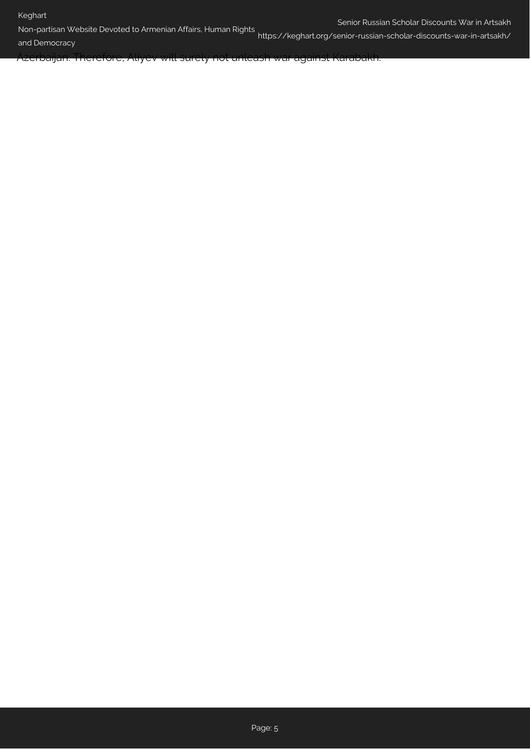#### Keghart

Non-partisan Website Devoted to Armenian Affairs, Human Rights

and Democracy https://keghart.org/senior-russian-scholar-discounts-war-in-artsakh/

Azerbaijan. Therefore, Aliyev will surely not unleash war against Karabakh.